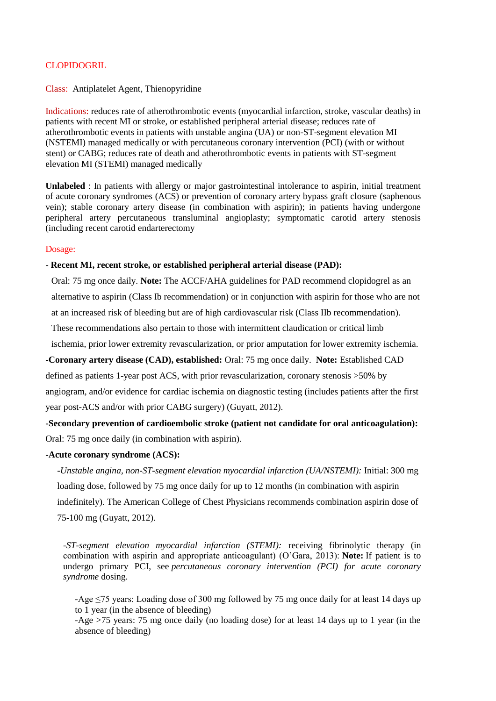## **CLOPIDOGRIL**

#### Class: Antiplatelet Agent, Thienopyridine

Indications: reduces rate of atherothrombotic events (myocardial infarction, stroke, vascular deaths) in patients with recent MI or stroke, or established peripheral arterial disease; reduces rate of atherothrombotic events in patients with unstable angina (UA) or non-ST-segment elevation MI (NSTEMI) managed medically or with percutaneous coronary intervention (PCI) (with or without stent) or CABG; reduces rate of death and atherothrombotic events in patients with ST-segment elevation MI (STEMI) managed medically

**Unlabeled** : In patients with allergy or major gastrointestinal intolerance to aspirin, initial treatment of acute coronary syndromes (ACS) or prevention of coronary artery bypass graft closure (saphenous vein); stable coronary artery disease (in combination with aspirin); in patients having undergone peripheral artery percutaneous transluminal angioplasty; symptomatic carotid artery stenosis (including recent carotid endarterectomy

#### Dosage:

#### - **Recent MI, recent stroke, or established peripheral arterial disease (PAD):**

Oral: 75 mg once daily. **Note:** The ACCF/AHA guidelines for PAD recommend clopidogrel as an alternative to aspirin (Class Ib recommendation) or in conjunction with aspirin for those who are not at an increased risk of bleeding but are of high cardiovascular risk (Class IIb recommendation).

These recommendations also pertain to those with intermittent claudication or critical limb

ischemia, prior lower extremity revascularization, or prior amputation for lower extremity ischemia.

**-Coronary artery disease (CAD), established:** Oral: 75 mg once daily. **Note:** Established CAD

defined as patients 1-year post ACS, with prior revascularization, coronary stenosis >50% by angiogram, and/or evidence for cardiac ischemia on diagnostic testing (includes patients after the first year post-ACS and/or with prior CABG surgery) (Guyatt, 2012).

# **-Secondary prevention of cardioembolic stroke (patient not candidate for oral anticoagulation):** Oral: 75 mg once daily (in combination with aspirin).

#### **-Acute coronary syndrome (ACS):**

*-Unstable angina, non-ST-segment elevation myocardial infarction (UA/NSTEMI):* Initial: 300 mg loading dose, followed by 75 mg once daily for up to 12 months (in combination with aspirin indefinitely). The American College of Chest Physicians recommends combination aspirin dose of 75-100 mg (Guyatt, 2012).

*-ST-segment elevation myocardial infarction (STEMI):* receiving fibrinolytic therapy (in combination with aspirin and appropriate anticoagulant) (O'Gara, 2013): **Note:** If patient is to undergo primary PCI, see *percutaneous coronary intervention (PCI) for acute coronary syndrome* dosing.

-Age ≤75 years: Loading dose of 300 mg followed by 75 mg once daily for at least 14 days up to 1 year (in the absence of bleeding)

-Age >75 years: 75 mg once daily (no loading dose) for at least 14 days up to 1 year (in the absence of bleeding)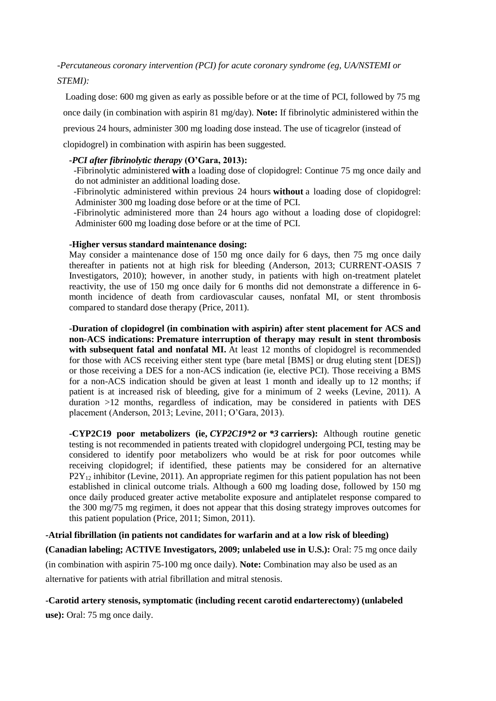*-Percutaneous coronary intervention (PCI) for acute coronary syndrome (eg, UA/NSTEMI or STEMI):*

Loading dose: 600 mg given as early as possible before or at the time of PCI, followed by 75 mg once daily (in combination with aspirin 81 mg/day). **Note:** If fibrinolytic administered within the previous 24 hours, administer 300 mg loading dose instead. The use of ticagrelor (instead of clopidogrel) in combination with aspirin has been suggested.

## *-PCI after fibrinolytic therapy* **(O'Gara, 2013):**

 -Fibrinolytic administered **with** a loading dose of clopidogrel: Continue 75 mg once daily and do not administer an additional loading dose.

- -Fibrinolytic administered within previous 24 hours **without** a loading dose of clopidogrel: Administer 300 mg loading dose before or at the time of PCI.
- -Fibrinolytic administered more than 24 hours ago without a loading dose of clopidogrel: Administer 600 mg loading dose before or at the time of PCI.

### **-Higher versus standard maintenance dosing:**

May consider a maintenance dose of 150 mg once daily for 6 days, then 75 mg once daily thereafter in patients not at high risk for bleeding (Anderson, 2013; CURRENT-OASIS 7 Investigators, 2010); however, in another study, in patients with high on-treatment platelet reactivity, the use of 150 mg once daily for 6 months did not demonstrate a difference in 6 month incidence of death from cardiovascular causes, nonfatal MI, or stent thrombosis compared to standard dose therapy (Price, 2011).

**-Duration of clopidogrel (in combination with aspirin) after stent placement for ACS and non-ACS indications: Premature interruption of therapy may result in stent thrombosis with subsequent fatal and nonfatal MI.** At least 12 months of clopidogrel is recommended for those with ACS receiving either stent type (bare metal [BMS] or drug eluting stent [DES]) or those receiving a DES for a non-ACS indication (ie, elective PCI). Those receiving a BMS for a non-ACS indication should be given at least 1 month and ideally up to 12 months; if patient is at increased risk of bleeding, give for a minimum of 2 weeks (Levine, 2011). A duration >12 months, regardless of indication, may be considered in patients with DES placement (Anderson, 2013; Levine, 2011; O'Gara, 2013).

**-CYP2C19 poor metabolizers (ie,** *CYP2C19\*2* **or** *\*3* **carriers):** Although routine genetic testing is not recommended in patients treated with clopidogrel undergoing PCI, testing may be considered to identify poor metabolizers who would be at risk for poor outcomes while receiving clopidogrel; if identified, these patients may be considered for an alternative  $P2Y_{12}$  inhibitor (Levine, 2011). An appropriate regimen for this patient population has not been established in clinical outcome trials. Although a 600 mg loading dose, followed by 150 mg once daily produced greater active metabolite exposure and antiplatelet response compared to the 300 mg/75 mg regimen, it does not appear that this dosing strategy improves outcomes for this patient population (Price, 2011; Simon, 2011).

**-Atrial fibrillation (in patients not candidates for warfarin and at a low risk of bleeding) (Canadian labeling; ACTIVE Investigators, 2009; unlabeled use in U.S.):** Oral: 75 mg once daily

(in combination with aspirin 75-100 mg once daily). **Note:** Combination may also be used as an alternative for patients with atrial fibrillation and mitral stenosis.

**-Carotid artery stenosis, symptomatic (including recent carotid endarterectomy) (unlabeled use):** Oral: 75 mg once daily.